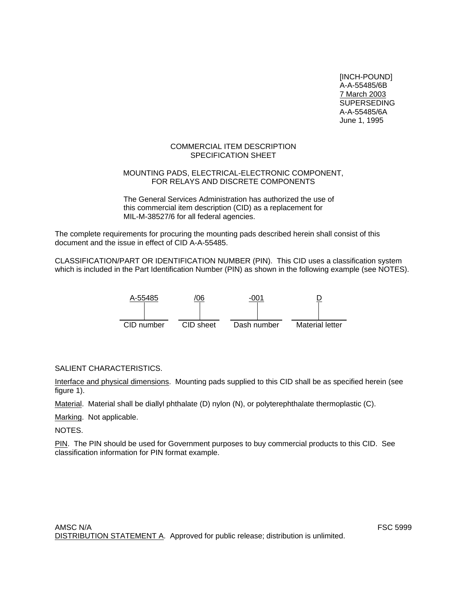[INCH-POUND] A-A-55485/6B 7 March 2003 SUPERSEDING A-A-55485/6A June 1, 1995

# COMMERCIAL ITEM DESCRIPTION SPECIFICATION SHEET

# MOUNTING PADS, ELECTRICAL-ELECTRONIC COMPONENT, FOR RELAYS AND DISCRETE COMPONENTS

The General Services Administration has authorized the use of this commercial item description (CID) as a replacement for MIL-M-38527/6 for all federal agencies.

The complete requirements for procuring the mounting pads described herein shall consist of this document and the issue in effect of CID A-A-55485.

CLASSIFICATION/PART OR IDENTIFICATION NUMBER (PIN). This CID uses a classification system which is included in the Part Identification Number (PIN) as shown in the following example (see NOTES).



SALIENT CHARACTERISTICS.

Interface and physical dimensions. Mounting pads supplied to this CID shall be as specified herein (see figure 1).

Material. Material shall be diallyl phthalate (D) nylon (N), or polyterephthalate thermoplastic (C).

Marking. Not applicable.

NOTES.

PIN. The PIN should be used for Government purposes to buy commercial products to this CID. See classification information for PIN format example.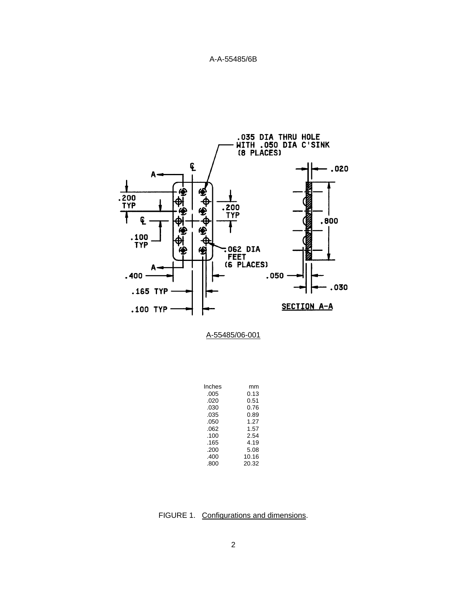

| Inches | mm    |
|--------|-------|
| .005   | 0.13  |
| .020   | 0.51  |
| .030   | 0.76  |
| .035   | 0.89  |
| .050   | 1.27  |
| .062   | 1.57  |
| .100   | 2.54  |
| .165   | 4.19  |
| .200   | 5.08  |
| .400   | 10.16 |
| .800   | 20.32 |
|        |       |

FIGURE 1. Configurations and dimensions.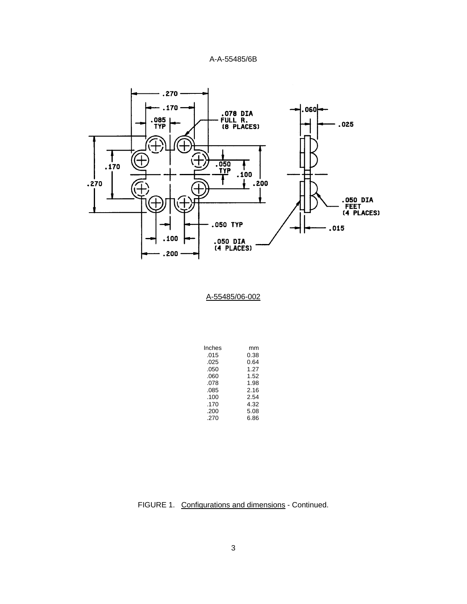

| Inches | mm   |
|--------|------|
| .015   | 0.38 |
| .025   | 0.64 |
| .050   | 1.27 |
| .060   | 1.52 |
| .078   | 1.98 |
| .085   | 2.16 |
| .100   | 2.54 |
| .170   | 4.32 |
| .200   | 5.08 |
| .270   | 6.86 |

FIGURE 1. Configurations and dimensions - Continued.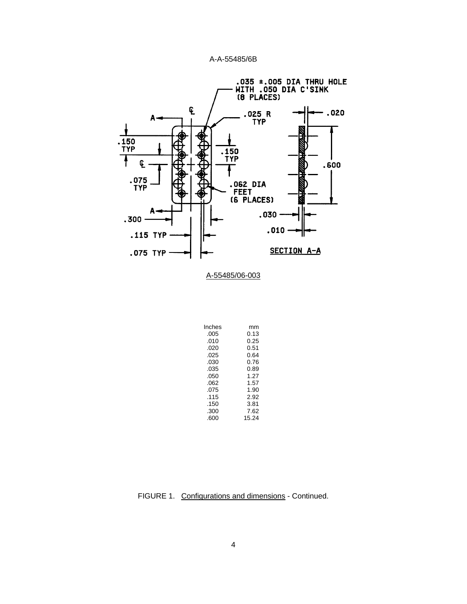



| Inches | mm    |
|--------|-------|
| .005   | 0.13  |
| .010   | 0.25  |
| .020   | 0.51  |
| .025   | 0.64  |
| .030   | 0.76  |
| .035   | 0.89  |
| .050   | 1.27  |
| .062   | 1.57  |
| .075   | 1.90  |
| .115   | 2.92  |
| .150   | 3.81  |
| .300   | 7.62  |
| .600   | 15.24 |

FIGURE 1. Configurations and dimensions - Continued.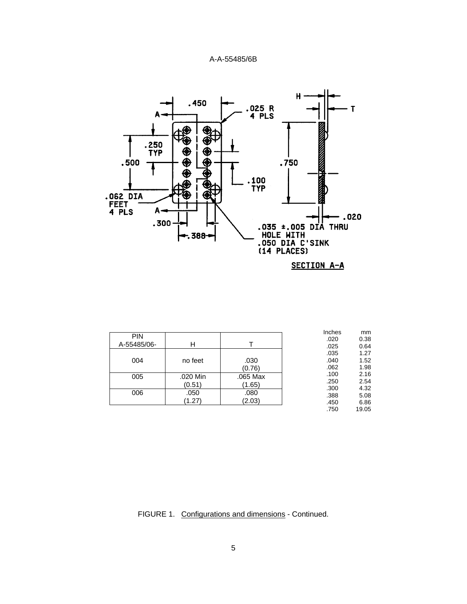

|             |          |          | Inches | mm    |
|-------------|----------|----------|--------|-------|
| <b>PIN</b>  |          |          | .020   | 0.38  |
| A-55485/06- | н        |          | .025   | 0.64  |
|             |          |          | .035   | 1.27  |
| 004         | no feet  | .030     | .040   | 1.52  |
|             |          | (0.76)   | .062   | 1.98  |
| 005         | .020 Min | .065 Max | .100   | 2.16  |
|             | (0.51)   | (1.65)   | .250   | 2.54  |
|             |          |          | .300   | 4.32  |
| 006         | .050     | .080     | .388   | 5.08  |
|             | (1.27)   | (2.03)   | .450   | 6.86  |
|             |          |          | .750   | 19.05 |

# FIGURE 1. Configurations and dimensions - Continued.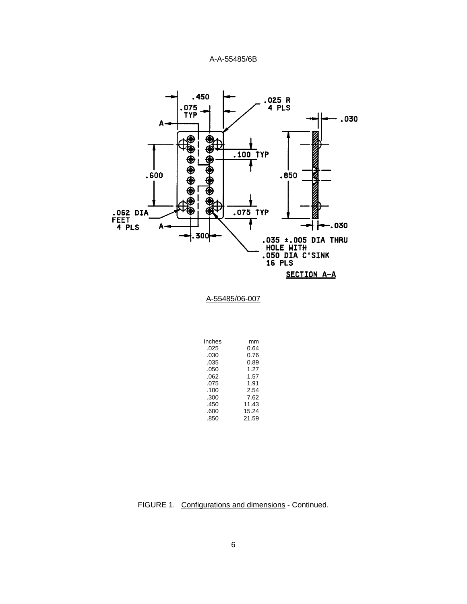

A-55485/06-007

| Inches | mm    |
|--------|-------|
| .025   | 0.64  |
| .030   | 0.76  |
| .035   | 0.89  |
| .050   | 1.27  |
| .062   | 1.57  |
| .075   | 1.91  |
| .100   | 2.54  |
| .300   | 7.62  |
| .450   | 11.43 |
| .600   | 15.24 |
| .850   | 21.59 |
|        |       |

FIGURE 1. Configurations and dimensions - Continued.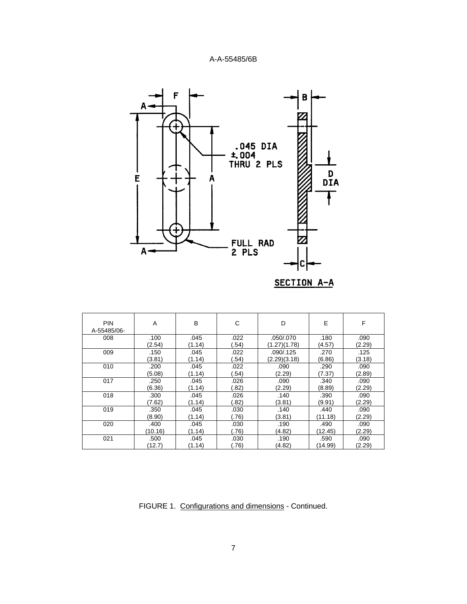

| <b>PIN</b><br>A-55485/06- | A       | B      | C      | D            | E       | F      |
|---------------------------|---------|--------|--------|--------------|---------|--------|
| 008                       | .100    | .045   | .022   | .050/.070    | .180    | .090   |
|                           | (2.54)  | (1.14) | .54)   | (1.27)(1.78) | (4.57)  | (2.29) |
| 009                       | .150    | .045   | .022   | .090/.125    | .270    | .125   |
|                           | (3.81)  | (1.14) | .54)   | (2.29)(3.18) | (6.86)  | (3.18) |
| 010                       | .200    | .045   | .022   | .090         | .290    | .090   |
|                           | (5.08)  | (1.14) | (.54)  | (2.29)       | (7.37)  | (2.89) |
| 017                       | .250    | .045   | .026   | .090         | .340    | .090   |
|                           | (6.36)  | (1.14) | (0.82) | (2.29)       | (8.89)  | (2.29) |
| 018                       | .300    | .045   | .026   | .140         | .390    | .090   |
|                           | (7.62)  | (1.14) | (0.82) | (3.81)       | (9.91)  | (2.29) |
| 019                       | .350    | .045   | .030   | .140         | .440    | .090   |
|                           | (8.90)  | (1.14) | (.76)  | (3.81)       | (11.18) | (2.29) |
| 020                       | .400    | .045   | .030   | .190         | .490    | .090   |
|                           | (10.16) | (1.14) | (.76)  | (4.82)       | (12.45) | (2.29) |
| 021                       | .500    | .045   | .030   | .190         | .590    | .090   |
|                           | (12.7)  | (1.14) | (.76)  | (4.82)       | (14.99) | (2.29) |

FIGURE 1. Configurations and dimensions - Continued.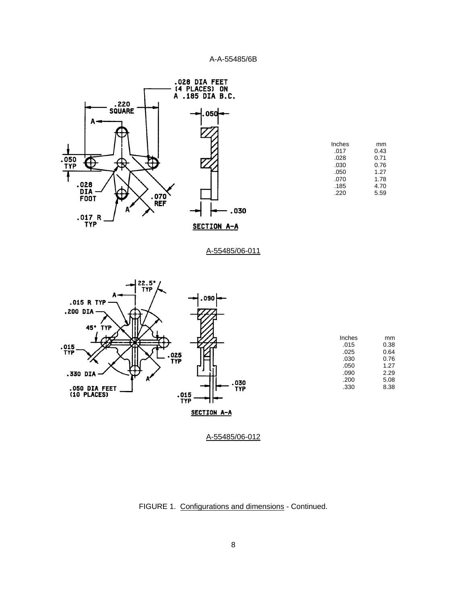

| mm   |
|------|
| 0.43 |
| 0.71 |
| 0.76 |
| 1.27 |
| 1.78 |
| 4.70 |
| 5.59 |
|      |

A-55485/06-011



| Inches | mm   |
|--------|------|
| .015   | 0.38 |
| .025   | 0.64 |
| .030   | 0.76 |
| .050   | 1.27 |
| .090   | 2.29 |
| .200   | 5.08 |
| .330   | 8.38 |
|        |      |

FIGURE 1. Configurations and dimensions - Continued.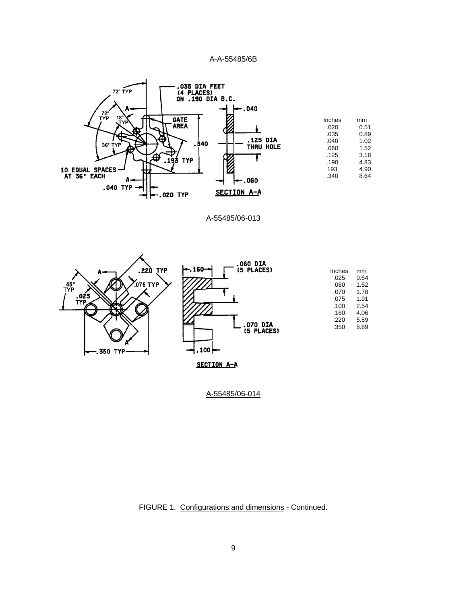

| Inches | mm   |
|--------|------|
| .020   | 0.51 |
| .035   | 0.89 |
| .040   | 1.02 |
| .060   | 1.52 |
| .125   | 3.18 |
| .190   | 4.83 |
| 193    | 4.90 |
| .340   | 8.64 |
|        |      |

A-55485/06-013



FIGURE 1. Configurations and dimensions - Continued.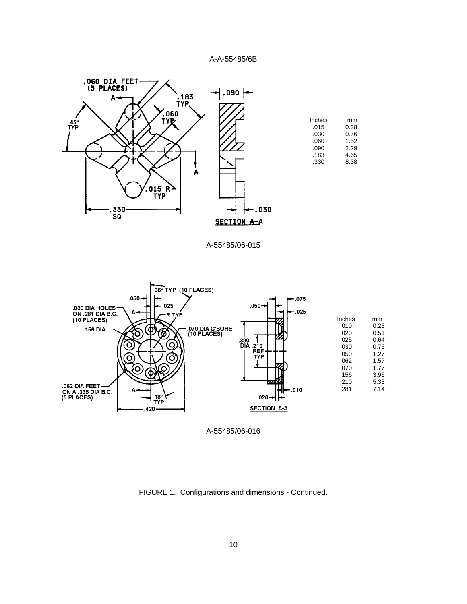

| Inches | mm   |
|--------|------|
| .015   | 0.38 |
| .030   | 0.76 |
| .060   | 1.52 |
| .090   | 2.29 |
| .183   | 4.65 |
| .330   | 8.38 |

# A-55485/06-015



FIGURE 1. Configurations and dimensions - Continued.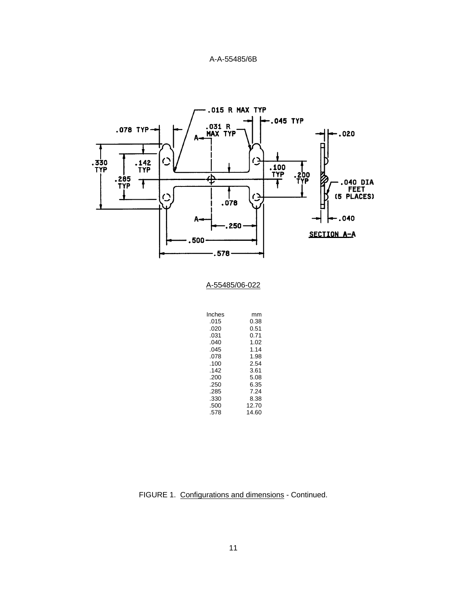

FIGURE 1. Configurations and dimensions - Continued.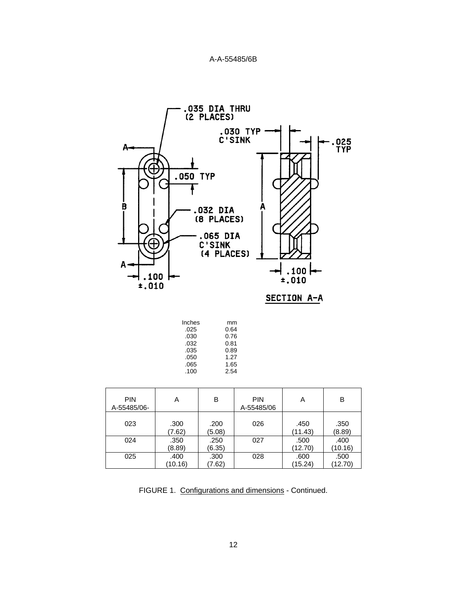



| Inches | mm   |
|--------|------|
| .025   | 0.64 |
| .030   | 0.76 |
| .032   | 0.81 |
| .035   | 0.89 |
| .050   | 1.27 |
| .065   | 1.65 |
| .100   | 2.54 |
|        |      |

| <b>PIN</b><br>A-55485/06- | Α               | B              | <b>PIN</b><br>A-55485/06 | Α               | B               |
|---------------------------|-----------------|----------------|--------------------------|-----------------|-----------------|
| 023                       | .300<br>(7.62)  | .200<br>(5.08) | 026                      | .450<br>(11.43) | .350<br>(8.89)  |
| 024                       | .350<br>(8.89)  | .250<br>(6.35) | 027                      | .500<br>(12.70) | .400<br>(10.16) |
| 025                       | .400<br>(10.16) | .300<br>(7.62) | 028                      | .600<br>(15.24) | .500<br>(12.70) |

FIGURE 1. Configurations and dimensions - Continued.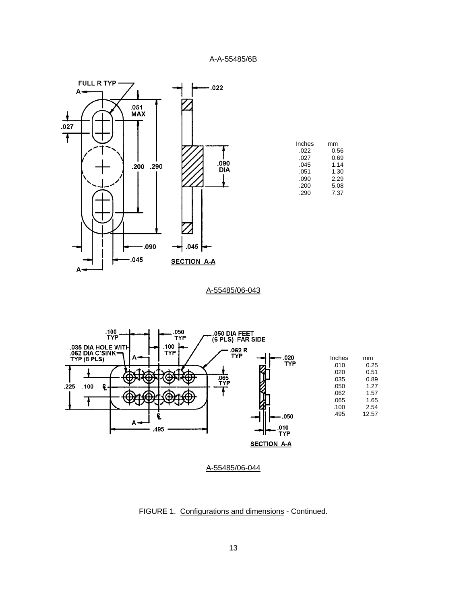

A-55485/06-043



FIGURE 1. Configurations and dimensions - Continued.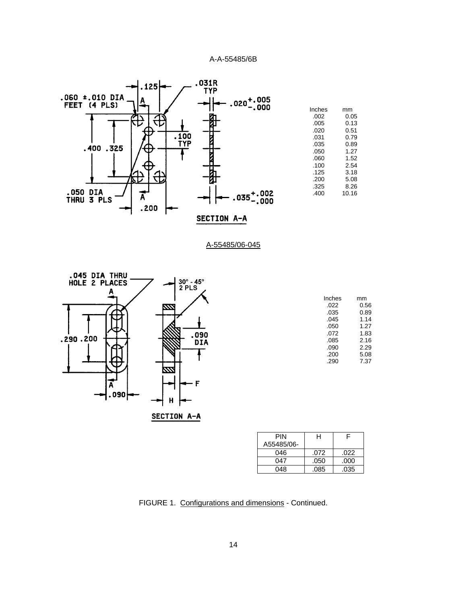



| Inches | mm   |
|--------|------|
| .022   | 0.56 |
| .035   | 0.89 |
| .045   | 1.14 |
| .050   | 1.27 |
| .072   | 1.83 |
| .085   | 2.16 |
| .090   | 2.29 |
| .200   | 5.08 |
| .290   | 7.37 |

| PIN        | н    |      |
|------------|------|------|
| A55485/06- |      |      |
| 046        | .072 | .022 |
| 047        | .050 | .000 |
| 048        | .085 | .035 |

FIGURE 1. Configurations and dimensions - Continued.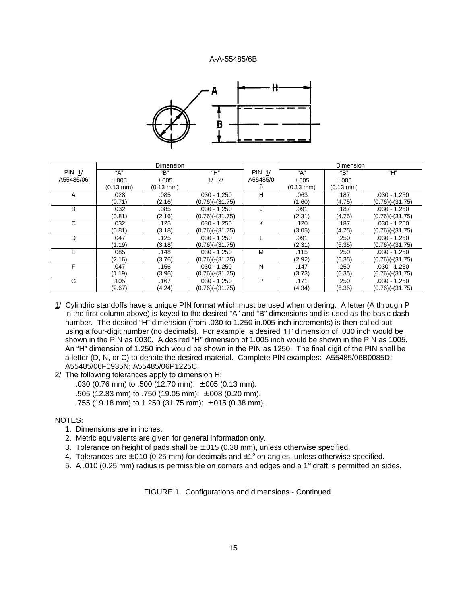

|               | Dimension           |                     |                    |               | Dimension           |                     |                    |
|---------------|---------------------|---------------------|--------------------|---------------|---------------------|---------------------|--------------------|
| <b>PIN 1/</b> | "А"                 | "B"                 | "Н"                | <b>PIN 1/</b> | "А"                 | "B"                 | "Н"                |
| A55485/06     | ±.005               | ±.005               | 2/<br>1/           | A55485/0      | ±.005               | ±.005               |                    |
|               | $(0.13 \text{ mm})$ | $(0.13 \text{ mm})$ |                    | 6             | $(0.13 \text{ mm})$ | $(0.13 \text{ mm})$ |                    |
| A             | .028                | .085                | $.030 - 1.250$     | н             | .063                | .187                | $.030 - 1.250$     |
|               | (0.71)              | (2.16)              | $(0.76)(-(31.75))$ |               | (1.60)              | (4.75)              | $(0.76)(-(31.75))$ |
| B             | .032                | .085                | $.030 - 1.250$     |               | .091                | .187                | $.030 - 1.250$     |
|               | (0.81)              | (2.16)              | $(0.76)(-(31.75))$ |               | (2.31)              | (4.75)              | $(0.76)(-(31.75))$ |
| C             | .032                | .125                | $.030 - 1.250$     | K             | .120                | .187                | $.030 - 1.250$     |
|               | (0.81)              | (3.18)              | $(0.76)(-(31.75))$ |               | (3.05)              | (4.75)              | $(0.76)(-(31.75))$ |
| D             | .047                | .125                | $.030 - 1.250$     |               | .091                | .250                | $.030 - 1.250$     |
|               | (1.19)              | (3.18)              | $(0.76)(-(31.75))$ |               | (2.31)              | (6.35)              | $(0.76)(-(31.75))$ |
| E             | .085                | .148                | $.030 - 1.250$     | M             | .115                | .250                | $.030 - 1.250$     |
|               | (2.16)              | (3.76)              | $(0.76)(-(31.75))$ |               | (2.92)              | (6.35)              | $(0.76)(-(31.75))$ |
| F             | .047                | .156                | $.030 - 1.250$     | N             | .147                | .250                | $.030 - 1.250$     |
|               | (1.19)              | (3.96)              | $(0.76)(-(31.75))$ |               | (3.73)              | (6.35)              | $(0.76)(-(31.75))$ |
| G             | .105                | .167                | $.030 - 1.250$     | P             | .171                | .250                | $.030 - 1.250$     |
|               | (2.67)              | (4.24)              | $(0.76)(-(31.75))$ |               | (4.34)              | (6.35)              | $(0.76)(-(31.75))$ |

- 1/ Cylindric standoffs have a unique PIN format which must be used when ordering. A letter (A through P in the first column above) is keyed to the desired "A" and "B" dimensions and is used as the basic dash number. The desired "H" dimension (from .030 to 1.250 in.005 inch increments) is then called out using a four-digit number (no decimals). For example, a desired "H" dimension of .030 inch would be shown in the PIN as 0030. A desired "H" dimension of 1.005 inch would be shown in the PIN as 1005. An "H" dimension of 1.250 inch would be shown in the PIN as 1250. The final digit of the PIN shall be a letter (D, N, or C) to denote the desired material. Complete PIN examples: A55485/06B0085D; A55485/06F0935N; A55485/06P1225C.
- 2/ The following tolerances apply to dimension H:
	- .030 (0.76 mm) to .500 (12.70 mm): ±.005 (0.13 mm).
	- .505 (12.83 mm) to .750 (19.05 mm): ±.008 (0.20 mm).
	- .755 (19.18 mm) to 1.250 (31.75 mm): ±.015 (0.38 mm).

# NOTES:

- 1. Dimensions are in inches.
- 2. Metric equivalents are given for general information only.
- 3. Tolerance on height of pads shall be  $\pm$ .015 (0.38 mm), unless otherwise specified.
- 4. Tolerances are  $\pm 010$  (0.25 mm) for decimals and  $\pm 1^{\circ}$  on angles, unless otherwise specified.
- 5. A .010 (0.25 mm) radius is permissible on corners and edges and a 1° draft is permitted on sides.

FIGURE 1. Configurations and dimensions - Continued.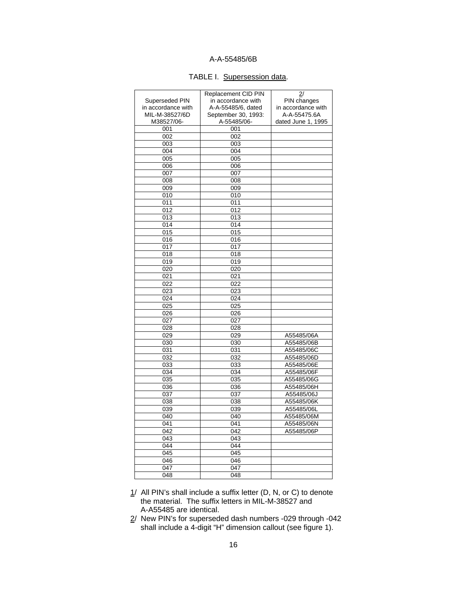# TABLE I. Supersession data.

|                    | Replacement CID PIN | 2/                 |
|--------------------|---------------------|--------------------|
| Superseded PIN     | in accordance with  | PIN changes        |
| in accordance with | A-A-55485/6, dated  | in accordance with |
| MIL-M-38527/6D     | September 30, 1993: | A-A-55475.6A       |
| M38527/06-         | A-55485/06-         | dated June 1, 1995 |
| 001                | 001                 |                    |
| 002                | 002                 |                    |
| 003                | 003                 |                    |
| 004                | 004                 |                    |
| 005                | 005                 |                    |
| 006                | 006                 |                    |
| 007                | 007                 |                    |
| 008                | 008                 |                    |
| 009                | 009                 |                    |
| 010                | 010                 |                    |
| 011                | 011                 |                    |
| 012                | 012                 |                    |
| 013                | 013                 |                    |
| 014                | 014                 |                    |
| 015                | 015                 |                    |
| 016                | 016                 |                    |
| 017                | 017                 |                    |
| 018                | 018                 |                    |
| 019                | 019                 |                    |
| 020                | 020                 |                    |
| 021                | 021                 |                    |
| 022                | 022                 |                    |
| 023                | 023                 |                    |
| 024                | 024                 |                    |
| 025                | 025                 |                    |
| 026                | 026                 |                    |
| 027                | 027                 |                    |
| 028                | 028                 |                    |
| 029                | 029                 | A55485/06A         |
| 030                | 030                 | A55485/06B         |
| 031                | 031                 | A55485/06C         |
| 032                | 032                 | A55485/06D         |
| 033                | 033                 | A55485/06E         |
| 034                | 034                 | A55485/06F         |
| 035                | 035                 | A55485/06G         |
| 036                | 036                 | A55485/06H         |
| 037                | 037                 | A55485/06J         |
| 038                | 038                 | A55485/06K         |
| 039                | 039                 | A55485/06L         |
| 040                | 040                 | A55485/06M         |
| 041                | 041                 | A55485/06N         |
| 042                | 042                 | A55485/06P         |
| 043                | 043                 |                    |
| 044                | 044                 |                    |
| 045                | 045                 |                    |
| 046                | 046                 |                    |
| 047                | 047                 |                    |
| 048                | 048                 |                    |
|                    |                     |                    |

- $1/$  All PIN's shall include a suffix letter (D, N, or C) to denote the material. The suffix letters in MIL-M-38527 and A-A55485 are identical.
- 2/ New PIN's for superseded dash numbers -029 through -042 shall include a 4-digit "H" dimension callout (see figure 1).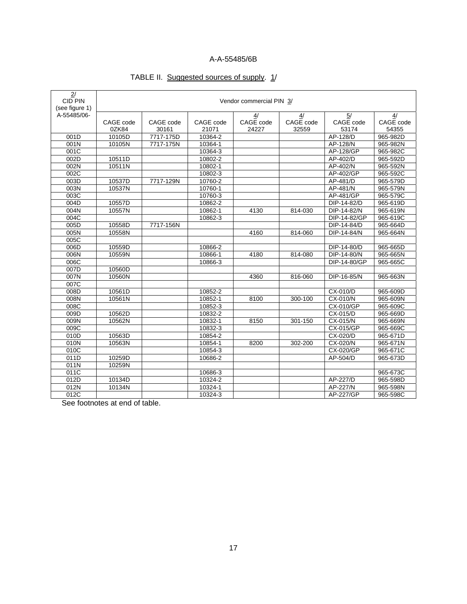# TABLE II. Suggested sources of supply. 1/

| 2/<br><b>CID PIN</b> | Vendor commercial PIN 3/ |           |           |                 |                 |                 |                 |
|----------------------|--------------------------|-----------|-----------|-----------------|-----------------|-----------------|-----------------|
| (see figure 1)       |                          |           |           |                 |                 |                 |                 |
| A-55485/06-          | CAGE code                | CAGE code | CAGE code | 4/<br>CAGE code | 4/<br>CAGE code | 5/<br>CAGE code | 4/<br>CAGE code |
|                      | 0ZK84                    | 30161     | 21071     | 24227           | 32559           | 53174           | 54355           |
| 001D                 | 10105D                   | 7717-175D | 10364-2   |                 |                 | AP-128/D        | 965-982D        |
| 001N                 | 10105N                   | 7717-175N | 10364-1   |                 |                 | AP-128/N        | 965-982N        |
| 001C                 |                          |           | 10364-3   |                 |                 | AP-128/GP       | 965-982C        |
| 002D                 | 10511D                   |           | 10802-2   |                 |                 | AP-402/D        | 965-592D        |
| 002N                 | 10511N                   |           | 10802-1   |                 |                 | AP-402/N        | 965-592N        |
| 002C                 |                          |           | 10802-3   |                 |                 | AP-402/GP       | 965-592C        |
| 003D                 | 10537D                   | 7717-129N | 10760-2   |                 |                 | AP-481/D        | 965-579D        |
| 003N                 | 10537N                   |           | 10760-1   |                 |                 | AP-481/N        | 965-579N        |
| 003C                 |                          |           | 10760-3   |                 |                 | AP-481/GP       | 965-579C        |
| 004D                 | 10557D                   |           | 10862-2   |                 |                 | DIP-14-82/D     | 965-619D        |
| $\overline{0}04N$    | 10557N                   |           | 10862-1   | 4130            | 814-030         | DIP-14-82/N     | 965-619N        |
| 004C                 |                          |           | 10862-3   |                 |                 | DIP-14-82/GP    | 965-619C        |
| 005D                 | 10558D                   | 7717-156N |           |                 |                 | DIP-14-84/D     | 965-664D        |
| 005N                 | 10558N                   |           |           | 4160            | 814-060         | DIP-14-84/N     | 965-664N        |
| 005C                 |                          |           |           |                 |                 |                 |                 |
| 006D                 | 10559D                   |           | 10866-2   |                 |                 | DIP-14-80/D     | 965-665D        |
| 006N                 | 10559N                   |           | 10866-1   | 4180            | 814-080         | DIP-14-80/N     | 965-665N        |
| 006C                 |                          |           | 10866-3   |                 |                 | DIP-14-80/GP    | 965-665C        |
| 007D                 | 10560D                   |           |           |                 |                 |                 |                 |
| 007N                 | 10560N                   |           |           | 4360            | 816-060         | DIP-16-85/N     | 965-663N        |
| 007C                 |                          |           |           |                 |                 |                 |                 |
| 008D                 | 10561D                   |           | 10852-2   |                 |                 | CX-010/D        | 965-609D        |
| 008N                 | 10561N                   |           | 10852-1   | 8100            | 300-100         | CX-010/N        | 965-609N        |
| 008C                 |                          |           | 10852-3   |                 |                 | CX-010/GP       | 965-609C        |
| 009D                 | 10562D                   |           | 10832-2   |                 |                 | CX-015/D        | 965-669D        |
| 009N                 | 10562N                   |           | 10832-1   | 8150            | 301-150         | CX-015/N        | 965-669N        |
| 009C                 |                          |           | 10832-3   |                 |                 | CX-015/GP       | 965-669C        |
| 010D                 | 10563D                   |           | 10854-2   |                 |                 | CX-020/D        | 965-671D        |
| 010N                 | 10563N                   |           | 10854-1   | 8200            | 302-200         | CX-020/N        | 965-671N        |
| 010C                 |                          |           | 10854-3   |                 |                 | CX-020/GP       | 965-671C        |
| 011D                 | 10259D                   |           | 10686-2   |                 |                 | AP-504/D        | 965-673D        |
| 011N                 | 10259N                   |           |           |                 |                 |                 |                 |
| 011C                 |                          |           | 10686-3   |                 |                 |                 | 965-673C        |
| 012D                 | 10134D                   |           | 10324-2   |                 |                 | AP-227/D        | 965-598D        |
| 012N                 | 10134N                   |           | 10324-1   |                 |                 | AP-227/N        | 965-598N        |
| 012C                 |                          |           | 10324-3   |                 |                 | AP-227/GP       | 965-598C        |

See footnotes at end of table.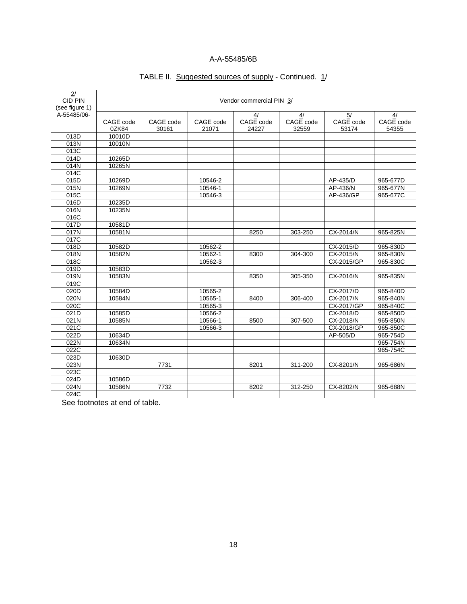| 2/<br>CID PIN  | Vendor commercial PIN 3/ |           |           |           |           |                   |           |  |
|----------------|--------------------------|-----------|-----------|-----------|-----------|-------------------|-----------|--|
| (see figure 1) |                          |           |           |           |           |                   |           |  |
| A-55485/06-    |                          |           |           | 4/        | 4/        | $\overline{5/}$   | 4/        |  |
|                | CAGE code                | CAGE code | CAGE code | CAGE code | CAGE code | CAGE code         | CAGE code |  |
|                | 0ZK84                    | 30161     | 21071     | 24227     | 32559     | 53174             | 54355     |  |
| 013D           | 10010D                   |           |           |           |           |                   |           |  |
| 013N           | 10010N                   |           |           |           |           |                   |           |  |
| 013C           |                          |           |           |           |           |                   |           |  |
| 014D           | 10265D                   |           |           |           |           |                   |           |  |
| 014N           | 10265N                   |           |           |           |           |                   |           |  |
| 014C           |                          |           |           |           |           |                   |           |  |
| 015D           | 10269D                   |           | 10546-2   |           |           | AP-435/D          | 965-677D  |  |
| 015N           | 10269N                   |           | 10546-1   |           |           | AP-436/N          | 965-677N  |  |
| 015C           |                          |           | 10546-3   |           |           | AP-436/GP         | 965-677C  |  |
| 016D           | 10235D                   |           |           |           |           |                   |           |  |
| 016N           | 10235N                   |           |           |           |           |                   |           |  |
| 016C           |                          |           |           |           |           |                   |           |  |
| 017D           | 10581D                   |           |           |           |           |                   |           |  |
| 017N           | 10581N                   |           |           | 8250      | 303-250   | CX-2014/N         | 965-825N  |  |
| 017C           |                          |           |           |           |           |                   |           |  |
| 018D           | 10582D                   |           | 10562-2   |           |           | CX-2015/D         | 965-830D  |  |
| 018N           | 10582N                   |           | 10562-1   | 8300      | 304-300   | CX-2015/N         | 965-830N  |  |
| 018C           |                          |           | 10562-3   |           |           | CX-2015/GP        | 965-830C  |  |
| 019D           | 10583D                   |           |           |           |           |                   |           |  |
| 019N           | 10583N                   |           |           | 8350      | 305-350   | CX-2016/N         | 965-835N  |  |
| 019C           |                          |           |           |           |           |                   |           |  |
| 020D           | 10584D                   |           | 10565-2   |           |           | CX-2017/D         | 965-840D  |  |
| 020N           | 10584N                   |           | 10565-1   | 8400      | 306-400   | CX-2017/N         | 965-840N  |  |
| 020C           |                          |           | 10565-3   |           |           | <b>CX-2017/GP</b> | 965-840C  |  |
| 021D           | 10585D                   |           | 10566-2   |           |           | CX-2018/D         | 965-850D  |  |
| 021N           | 10585N                   |           | 10566-1   | 8500      | 307-500   | CX-2018/N         | 965-850N  |  |
| 021C           |                          |           | 10566-3   |           |           | CX-2018/GP        | 965-850C  |  |
| 022D           | 10634D                   |           |           |           |           | AP-505/D          | 965-754D  |  |
| 022N           | 10634N                   |           |           |           |           |                   | 965-754N  |  |
| 022C           |                          |           |           |           |           |                   | 965-754C  |  |
|                | 10630D                   |           |           |           |           |                   |           |  |
| 023D           |                          |           |           |           |           |                   |           |  |
| 023N           |                          | 7731      |           | 8201      | 311-200   | CX-8201/N         | 965-686N  |  |
| 023C           |                          |           |           |           |           |                   |           |  |
| 024D           | 10586D                   |           |           |           |           |                   |           |  |
| 024N           | 10586N                   | 7732      |           | 8202      | 312-250   | CX-8202/N         | 965-688N  |  |
| 024C           |                          |           |           |           |           |                   |           |  |

# TABLE II. Suggested sources of supply - Continued. 1/

See footnotes at end of table.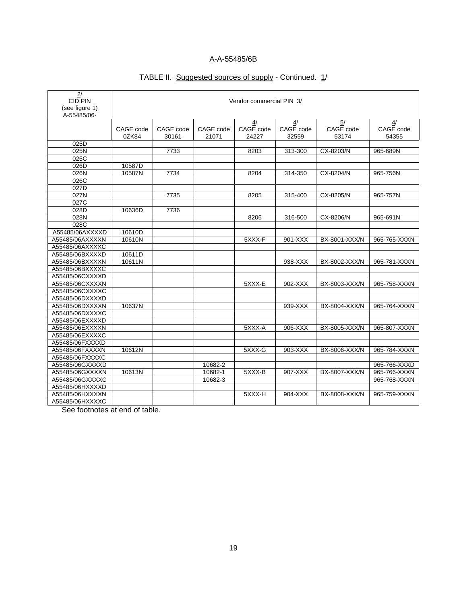# TABLE II. Suggested sources of supply - Continued. 1/

| 2/<br><b>CID PIN</b><br>(see figure 1)<br>A-55485/06- | Vendor commercial PIN 3/ |                    |                    |                          |                          |                                       |                          |
|-------------------------------------------------------|--------------------------|--------------------|--------------------|--------------------------|--------------------------|---------------------------------------|--------------------------|
|                                                       | CAGE code<br>0ZK84       | CAGE code<br>30161 | CAGE code<br>21071 | 4/<br>CAGE code<br>24227 | 4/<br>CAGE code<br>32559 | $\overline{5/}$<br>CAGE code<br>53174 | 4/<br>CAGE code<br>54355 |
| 025D                                                  |                          |                    |                    |                          |                          |                                       |                          |
| 025N                                                  |                          | 7733               |                    | 8203                     | 313-300                  | CX-8203/N                             | 965-689N                 |
| 025C                                                  |                          |                    |                    |                          |                          |                                       |                          |
| 026D                                                  | 10587D                   |                    |                    |                          |                          |                                       |                          |
| 026N                                                  | 10587N                   | 7734               |                    | 8204                     | 314-350                  | CX-8204/N                             | 965-756N                 |
| 026C                                                  |                          |                    |                    |                          |                          |                                       |                          |
| 027D                                                  |                          |                    |                    |                          |                          |                                       |                          |
| 027N                                                  |                          | 7735               |                    | 8205                     | 315-400                  | CX-8205/N                             | 965-757N                 |
| 027C                                                  |                          |                    |                    |                          |                          |                                       |                          |
| 028D                                                  | 10636D                   | 7736               |                    |                          |                          |                                       |                          |
| 028N                                                  |                          |                    |                    | 8206                     | 316-500                  | CX-8206/N                             | 965-691N                 |
| 028C                                                  |                          |                    |                    |                          |                          |                                       |                          |
| A55485/06AXXXXD                                       | 10610D                   |                    |                    |                          |                          |                                       |                          |
| A55485/06AXXXXN                                       | 10610N                   |                    |                    | 5XXX-F                   | 901-XXX                  | BX-8001-XXX/N                         | 965-765-XXXN             |
| A55485/06AXXXXC                                       |                          |                    |                    |                          |                          |                                       |                          |
| A55485/06BXXXXD                                       | 10611D                   |                    |                    |                          |                          |                                       |                          |
| A55485/06BXXXXN                                       | 10611N                   |                    |                    |                          | 938-XXX                  | BX-8002-XXX/N                         | 965-781-XXXN             |
| A55485/06BXXXXC                                       |                          |                    |                    |                          |                          |                                       |                          |
| A55485/06CXXXXD                                       |                          |                    |                    |                          |                          |                                       |                          |
| A55485/06CXXXXN                                       |                          |                    |                    | 5XXX-E                   | 902-XXX                  | BX-8003-XXX/N                         | 965-758-XXXN             |
| A55485/06CXXXXC                                       |                          |                    |                    |                          |                          |                                       |                          |
| A55485/06DXXXXD                                       |                          |                    |                    |                          |                          |                                       |                          |
| A55485/06DXXXXN                                       | 10637N                   |                    |                    |                          | 939-XXX                  | BX-8004-XXX/N                         | 965-764-XXXN             |
| A55485/06DXXXXC                                       |                          |                    |                    |                          |                          |                                       |                          |
| A55485/06EXXXXD                                       |                          |                    |                    |                          |                          |                                       |                          |
| A55485/06EXXXXN                                       |                          |                    |                    | 5XXX-A                   | 906-XXX                  | BX-8005-XXX/N                         | 965-807-XXXN             |
| A55485/06EXXXXC                                       |                          |                    |                    |                          |                          |                                       |                          |
| A55485/06FXXXXD                                       |                          |                    |                    |                          |                          |                                       |                          |
| A55485/06FXXXXN                                       | 10612N                   |                    |                    | 5XXX-G                   | 903-XXX                  | BX-8006-XXX/N                         | 965-784-XXXN             |
| A55485/06FXXXXC                                       |                          |                    |                    |                          |                          |                                       |                          |
| A55485/06GXXXXD                                       |                          |                    | 10682-2            |                          |                          |                                       | 965-766-XXXD             |
| A55485/06GXXXXN                                       | 10613N                   |                    | 10682-1            | 5XXX-B                   | 907-XXX                  | BX-8007-XXX/N                         | 965-766-XXXN             |
| A55485/06GXXXXC                                       |                          |                    | 10682-3            |                          |                          |                                       | 965-768-XXXN             |
| A55485/06HXXXXD                                       |                          |                    |                    |                          |                          |                                       |                          |
| A55485/06HXXXXN                                       |                          |                    |                    | 5XXX-H                   | 904-XXX                  | BX-8008-XXX/N                         | 965-759-XXXN             |
| A55485/06HXXXXC                                       |                          |                    |                    |                          |                          |                                       |                          |

See footnotes at end of table.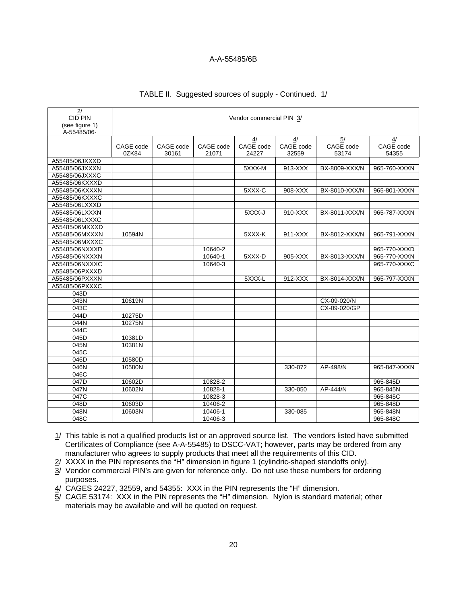| 2/<br><b>CID PIN</b><br>(see figure 1)<br>A-55485/06- | Vendor commercial PIN 3/ |                    |                    |                          |                          |                                       |                          |
|-------------------------------------------------------|--------------------------|--------------------|--------------------|--------------------------|--------------------------|---------------------------------------|--------------------------|
|                                                       | CAGE code<br>0ZK84       | CAGE code<br>30161 | CAGE code<br>21071 | 4/<br>CAGE code<br>24227 | 4/<br>CAGE code<br>32559 | $\overline{5/}$<br>CAGE code<br>53174 | 4/<br>CAGE code<br>54355 |
| A55485/06JXXXD                                        |                          |                    |                    |                          |                          |                                       |                          |
| A55485/06JXXXN                                        |                          |                    |                    | 5XXX-M                   | 913-XXX                  | BX-8009-XXX/N                         | 965-760-XXXN             |
| A55485/06JXXXC                                        |                          |                    |                    |                          |                          |                                       |                          |
| A55485/06KXXXD                                        |                          |                    |                    |                          |                          |                                       |                          |
| A55485/06KXXXN                                        |                          |                    |                    | 5XXX-C                   | 908-XXX                  | BX-8010-XXX/N                         | 965-801-XXXN             |
| A55485/06KXXXC                                        |                          |                    |                    |                          |                          |                                       |                          |
| A55485/06LXXXD                                        |                          |                    |                    |                          |                          |                                       |                          |
| A55485/06LXXXN                                        |                          |                    |                    | 5XXX-J                   | 910-XXX                  | BX-8011-XXX/N                         | 965-787-XXXN             |
| A55485/06LXXXC                                        |                          |                    |                    |                          |                          |                                       |                          |
| A55485/06MXXXD                                        |                          |                    |                    |                          |                          |                                       |                          |
| A55485/06MXXXN                                        | 10594N                   |                    |                    | 5XXX-K                   | $911-XXX$                | BX-8012-XXX/N                         | 965-791-XXXN             |
| A55485/06MXXXC                                        |                          |                    |                    |                          |                          |                                       |                          |
| A55485/06NXXXD                                        |                          |                    | 10640-2            |                          |                          |                                       | 965-770-XXXD             |
| A55485/06NXXXN                                        |                          |                    | 10640-1            | 5XXX-D                   | 905-XXX                  | BX-8013-XXX/N                         | 965-770-XXXN             |
| A55485/06NXXXC                                        |                          |                    | 10640-3            |                          |                          |                                       | 965-770-XXXC             |
| A55485/06PXXXD                                        |                          |                    |                    |                          |                          |                                       |                          |
| A55485/06PXXXN                                        |                          |                    |                    | 5XXX-L                   | 912-XXX                  | BX-8014-XXX/N                         | 965-797-XXXN             |
| A55485/06PXXXC                                        |                          |                    |                    |                          |                          |                                       |                          |
| 043D                                                  |                          |                    |                    |                          |                          |                                       |                          |
| 043N                                                  | 10619N                   |                    |                    |                          |                          | CX-09-020/N                           |                          |
| 043C                                                  |                          |                    |                    |                          |                          | CX-09-020/GP                          |                          |
| 044D                                                  | 10275D                   |                    |                    |                          |                          |                                       |                          |
| 044N                                                  | 10275N                   |                    |                    |                          |                          |                                       |                          |
| 044C                                                  |                          |                    |                    |                          |                          |                                       |                          |
| 045D                                                  | 10381D                   |                    |                    |                          |                          |                                       |                          |
| 045N                                                  | 10381N                   |                    |                    |                          |                          |                                       |                          |
| 045C                                                  |                          |                    |                    |                          |                          |                                       |                          |
| 046D                                                  | 10580D                   |                    |                    |                          |                          |                                       |                          |
| 046N                                                  | 10580N                   |                    |                    |                          | 330-072                  | AP-498/N                              | 965-847-XXXN             |
| 046C                                                  |                          |                    |                    |                          |                          |                                       |                          |
| 047D                                                  | 10602D                   |                    | 10828-2            |                          |                          |                                       | 965-845D                 |
| 047N                                                  | 10602N                   |                    | 10828-1            |                          | 330-050                  | AP-444/N                              | 965-845N                 |
| 047C                                                  |                          |                    | 10828-3            |                          |                          |                                       | 965-845C                 |
| 048D                                                  | 10603D                   |                    | 10406-2            |                          |                          |                                       | 965-848D                 |
| 048N                                                  | 10603N                   |                    | 10406-1            |                          | 330-085                  |                                       | 965-848N                 |
| 048C                                                  |                          |                    | 10406-3            |                          |                          |                                       | 965-848C                 |

#### TABLE II. Suggested sources of supply - Continued. 1/

1/ This table is not a qualified products list or an approved source list. The vendors listed have submitted Certificates of Compliance (see A-A-55485) to DSCC-VAT; however, parts may be ordered from any manufacturer who agrees to supply products that meet all the requirements of this CID.

2/ XXXX in the PIN represents the "H" dimension in figure 1 (cylindric-shaped standoffs only).

- 3/ Vendor commercial PIN's are given for reference only. Do not use these numbers for ordering purposes.
- 4/ CAGES 24227, 32559, and 54355: XXX in the PIN represents the "H" dimension.
- 5/ CAGE 53174: XXX in the PIN represents the "H" dimension. Nylon is standard material; other materials may be available and will be quoted on request.